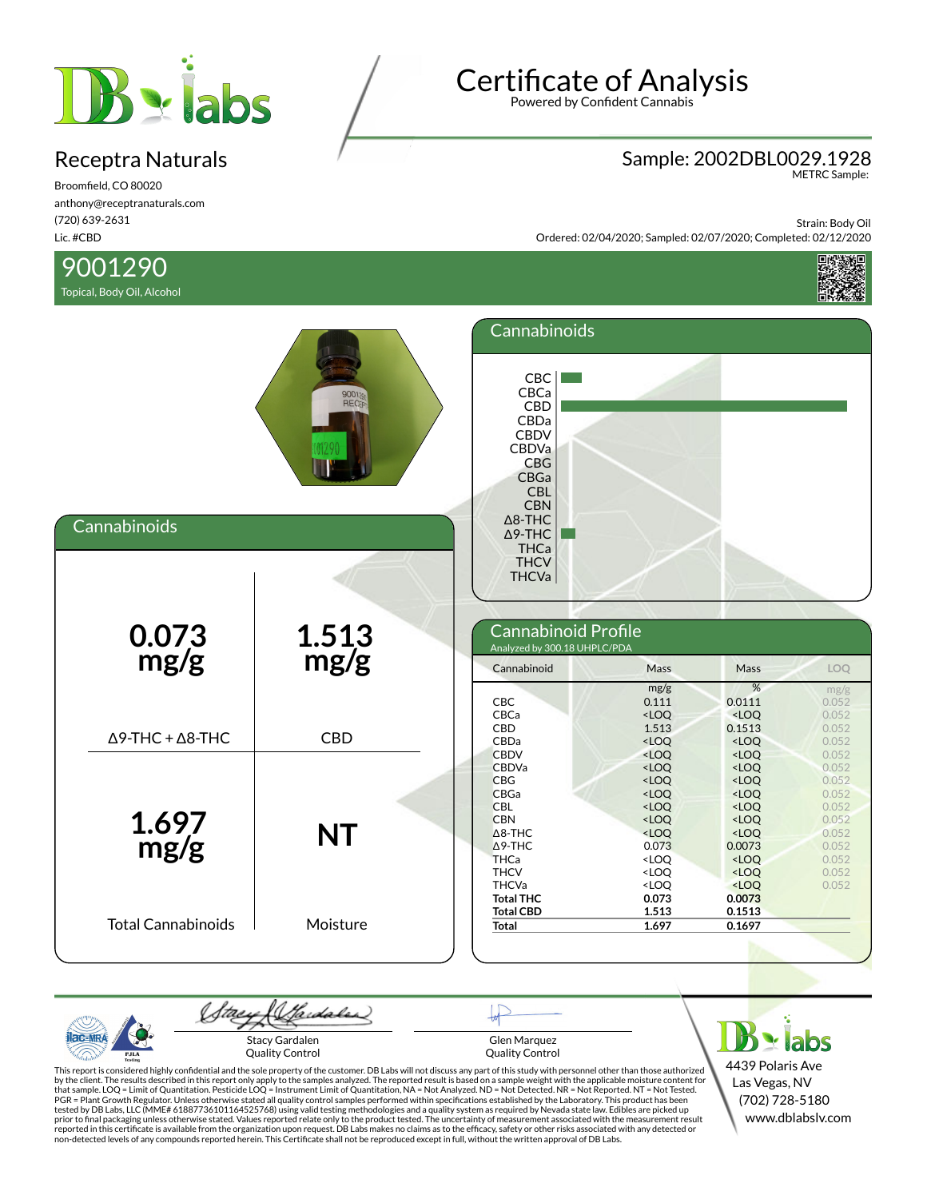

Broomfield, CO 80020 anthony@receptranaturals.com (720) 639-2631 Lic. #CBD

### 9001290

Topical, Body Oil, Alcohol

# Certificate of Analysis

Powered by Confident Cannabis

## Sample: 2002DBL0029.1928 METRC Sample:

Strain: Body Oil Ordered: 02/04/2020; Sampled: 02/07/2020; Completed: 02/12/2020





Hardales Stacy Gardalen Glen Marquez Quality Control Quality Control

This report is considered highly confidential and the sole property of the customer. DB Labs will not discuss any part of this study with personnel other than those authorized<br>by the client. The results described in this r tested by DB Labs, LLC (MME# 61887736101164525768) using valid testing methodologies and a quality system as required by Nevada state law. Edibles are picked up<br>prior to final packaging unless otherwise stated. Values repo

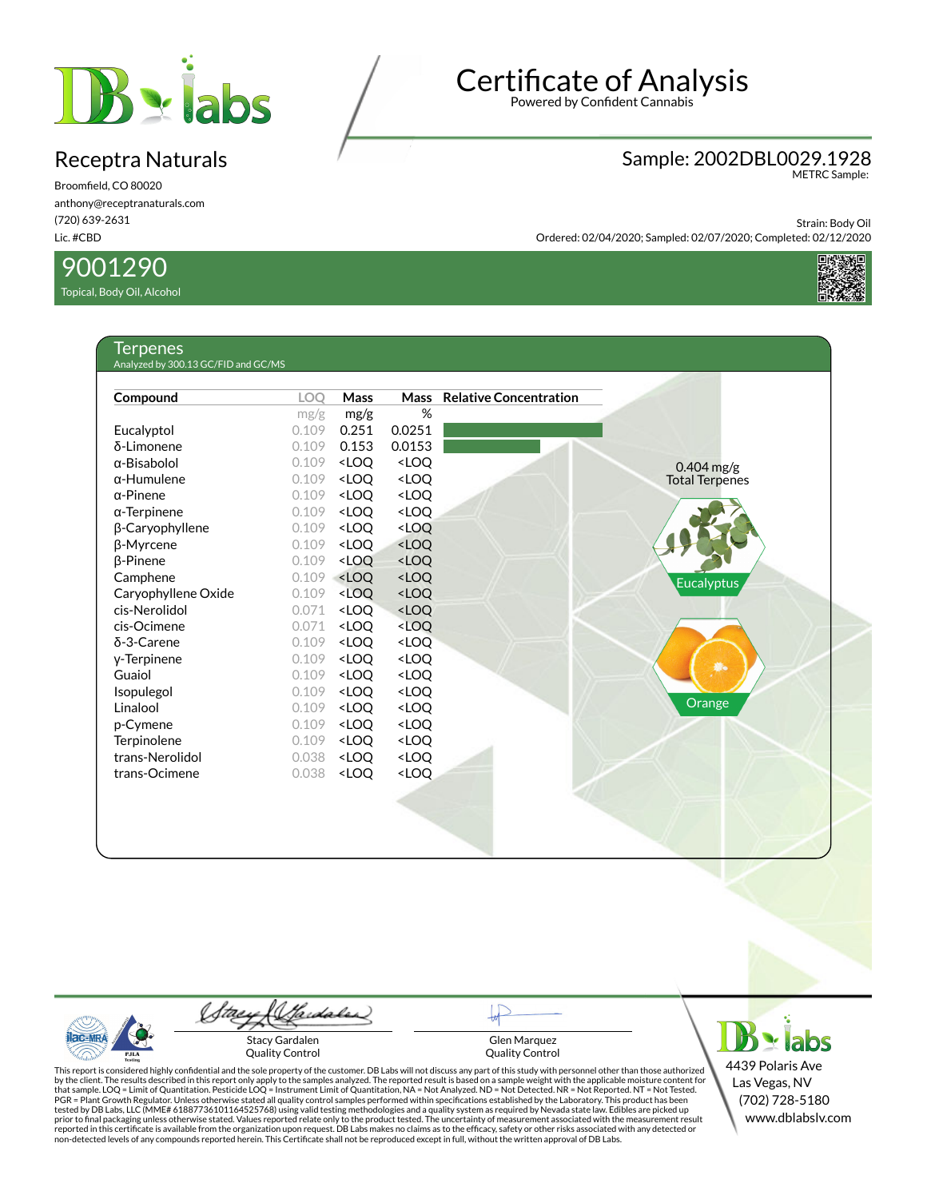

Broomfield, CO 80020 anthony@receptranaturals.com (720) 639-2631 Lic. #CBD

#### 9001290

Topical, Body Oil, Alcohol

Ternenes

## Certificate of Analysis

Powered by Confident Cannabis

### Sample: 2002DBL0029.1928 METRC Sample:

Strain: Body Oil Ordered: 02/04/2020; Sampled: 02/07/2020; Completed: 02/12/2020



| Compound            | <b>LOO</b> | Mass                                                                                     | <b>Mass</b>                                                  | <b>Relative Concentration</b> |                       |
|---------------------|------------|------------------------------------------------------------------------------------------|--------------------------------------------------------------|-------------------------------|-----------------------|
|                     | mg/g       | mg/g                                                                                     | %                                                            |                               |                       |
| Eucalyptol          | 0.109      | 0.251                                                                                    | 0.0251                                                       |                               |                       |
| δ-Limonene          | 0.109      | 0.153                                                                                    | 0.0153                                                       |                               |                       |
| $\alpha$ -Bisabolol | 0.109      | <loq< td=""><td><loq< td=""><td></td><td><math>0.404</math> mg/g</td></loq<></td></loq<> | <loq< td=""><td></td><td><math>0.404</math> mg/g</td></loq<> |                               | $0.404$ mg/g          |
| $\alpha$ -Humulene  | 0.109      | <loq< td=""><td><loq< td=""><td></td><td><b>Total Terpenes</b></td></loq<></td></loq<>   | <loq< td=""><td></td><td><b>Total Terpenes</b></td></loq<>   |                               | <b>Total Terpenes</b> |
| $\alpha$ -Pinene    | 0.109      | <loq< td=""><td><loq< td=""><td></td><td></td></loq<></td></loq<>                        | <loq< td=""><td></td><td></td></loq<>                        |                               |                       |
| $\alpha$ -Terpinene | 0.109      | <loq< td=""><td><loq< td=""><td></td><td></td></loq<></td></loq<>                        | <loq< td=""><td></td><td></td></loq<>                        |                               |                       |
| β-Caryophyllene     | 0.109      | <loq< td=""><td><loq< td=""><td></td><td></td></loq<></td></loq<>                        | <loq< td=""><td></td><td></td></loq<>                        |                               |                       |
| β-Myrcene           | 0.109      | <loq< td=""><td><loq< td=""><td></td><td></td></loq<></td></loq<>                        | <loq< td=""><td></td><td></td></loq<>                        |                               |                       |
| <b>B-Pinene</b>     | 0.109      | <loq< td=""><td><loq< td=""><td></td><td></td></loq<></td></loq<>                        | <loq< td=""><td></td><td></td></loq<>                        |                               |                       |
| Camphene            | 0.109      | <loq< td=""><td><loq< td=""><td></td><td><b>Eucalyptus</b></td></loq<></td></loq<>       | <loq< td=""><td></td><td><b>Eucalyptus</b></td></loq<>       |                               | <b>Eucalyptus</b>     |
| Caryophyllene Oxide | 0.109      | <loq< td=""><td><loq< td=""><td></td><td></td></loq<></td></loq<>                        | <loq< td=""><td></td><td></td></loq<>                        |                               |                       |
| cis-Nerolidol       | 0.071      | <loq< td=""><td><math>&lt;</math>LOQ</td><td></td><td></td></loq<>                       | $<$ LOQ                                                      |                               |                       |
| cis-Ocimene         | 0.071      | <loq< td=""><td><math>&lt;</math>LOQ</td><td></td><td></td></loq<>                       | $<$ LOQ                                                      |                               |                       |
| $\delta$ -3-Carene  | 0.109      | <loq< td=""><td><loq< td=""><td></td><td></td></loq<></td></loq<>                        | <loq< td=""><td></td><td></td></loq<>                        |                               |                       |
| y-Terpinene         | 0.109      | <loq< td=""><td><loq< td=""><td></td><td></td></loq<></td></loq<>                        | <loq< td=""><td></td><td></td></loq<>                        |                               |                       |
| Guaiol              | 0.109      | <loq< td=""><td><loq< td=""><td></td><td>着。</td></loq<></td></loq<>                      | <loq< td=""><td></td><td>着。</td></loq<>                      |                               | 着。                    |
| Isopulegol          | 0.109      | <loq< td=""><td><loq< td=""><td></td><td></td></loq<></td></loq<>                        | <loq< td=""><td></td><td></td></loq<>                        |                               |                       |
| Linalool            | 0.109      | <loq< td=""><td><loq< td=""><td></td><td>Orange</td></loq<></td></loq<>                  | <loq< td=""><td></td><td>Orange</td></loq<>                  |                               | Orange                |
| p-Cymene            | 0.109      | <loq< td=""><td><loq< td=""><td></td><td></td></loq<></td></loq<>                        | <loq< td=""><td></td><td></td></loq<>                        |                               |                       |
| Terpinolene         | 0.109      | <loq< td=""><td><loq< td=""><td></td><td></td></loq<></td></loq<>                        | <loq< td=""><td></td><td></td></loq<>                        |                               |                       |
| trans-Nerolidol     | 0.038      | <loq< td=""><td><loq< td=""><td></td><td></td></loq<></td></loq<>                        | <loq< td=""><td></td><td></td></loq<>                        |                               |                       |
| trans-Ocimene       | 0.038      | <loq< td=""><td><loq< td=""><td></td><td></td></loq<></td></loq<>                        | <loq< td=""><td></td><td></td></loq<>                        |                               |                       |
|                     |            |                                                                                          |                                                              |                               |                       |
|                     |            |                                                                                          |                                                              |                               |                       |
|                     |            |                                                                                          |                                                              |                               |                       |

ac-MR PJLA

(Sadales) ftaey Stacy Gardalen Quality Control

Glen Marquez Quality Control  $B \cdot$ iabs 4439 Polaris Ave Las Vegas, NV (702) 728-5180 www.dblabslv.com

This report is considered highly confidential and the sole property of the customer. DB Labs will not discuss any part of this study with personnel other than those authorized<br>by the client. The results described in this r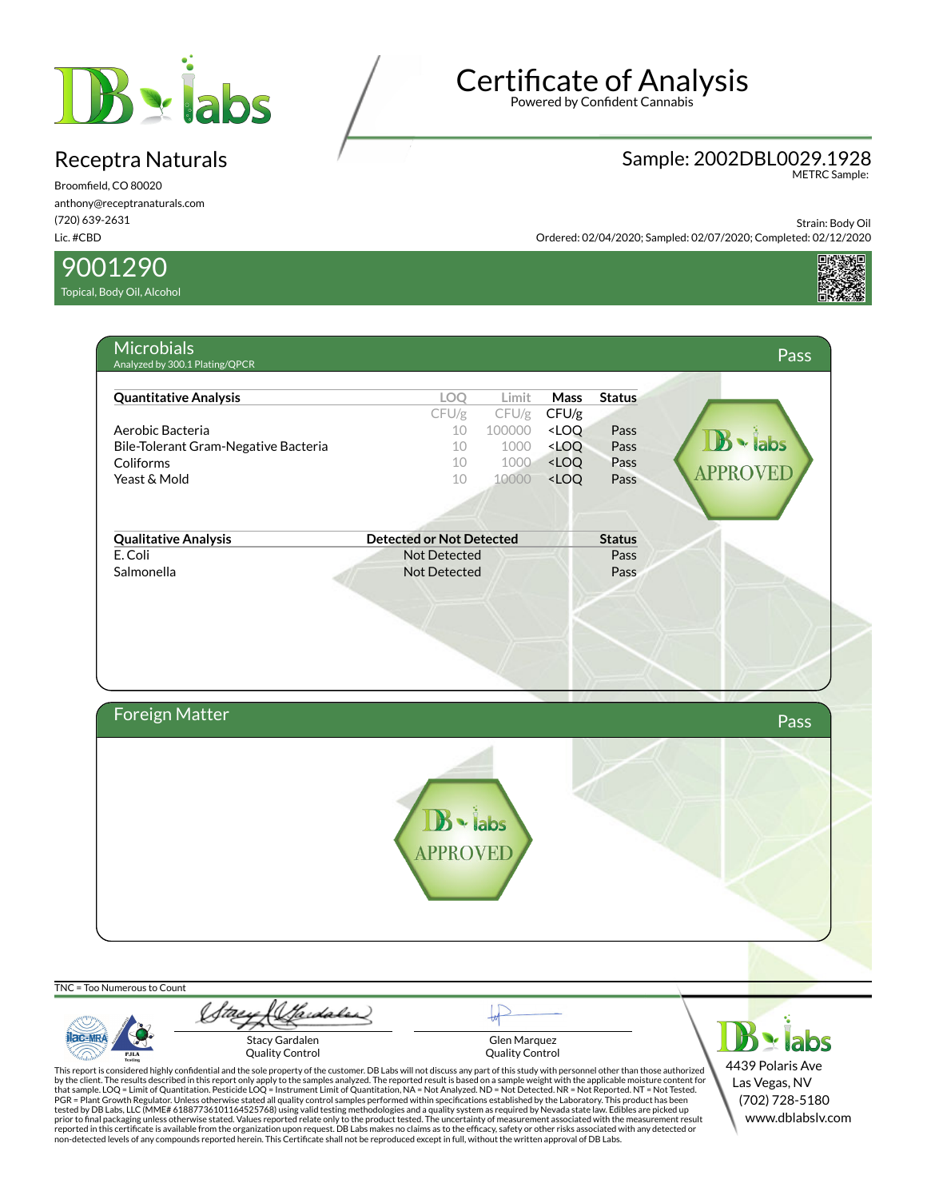

Broomfield, CO 80020 anthony@receptranaturals.com (720) 639-2631 Lic. #CBD

9001290

Topical, Body Oil, Alcohol

# Certificate of Analysis

Powered by Confident Cannabis

### Sample: 2002DBL0029.1928 METRC Sample:

Strain: Body Oil Ordered: 02/04/2020; Sampled: 02/07/2020; Completed: 02/12/2020





Wardales 'tae  $B$  - labs **AC-MR** Stacy Gardalen Glen Marquez PJLA Quality Control Quality Control 4439 Polaris Ave This report is considered highly confidential and the sole property of the customer. DB Labs will not discuss any part of this study with personnel other than those authorized<br>by the client. The results described in this r Las Vegas, NV (702) 728-5180 tested by DB Labs, LLC (MME# 61887736101164525768) using valid testing methodologies and a quality system as required by Nevada state law. Edibles are picked up<br>prior to final packaging unless otherwise stated. Values repo www.dblabslv.com